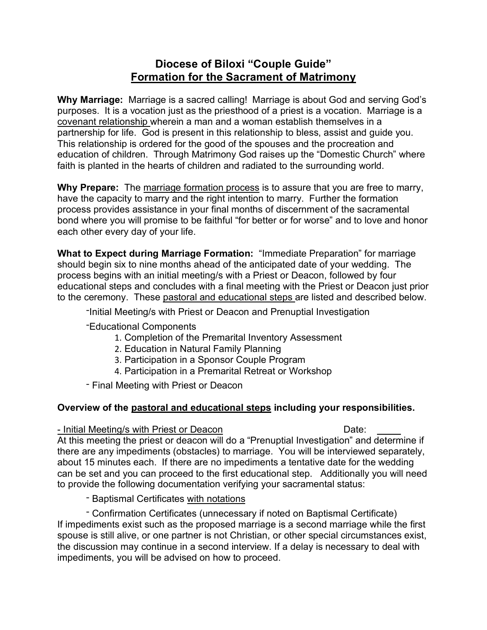# **Diocese of Biloxi "Couple Guide" Formation for the Sacrament of Matrimony**

**Why Marriage:** Marriage is a sacred calling! Marriage is about God and serving God's purposes. It is a vocation just as the priesthood of a priest is a vocation. Marriage is a covenant relationship wherein a man and a woman establish themselves in a partnership for life. God is present in this relationship to bless, assist and guide you. This relationship is ordered for the good of the spouses and the procreation and education of children. Through Matrimony God raises up the "Domestic Church" where faith is planted in the hearts of children and radiated to the surrounding world.

**Why Prepare:** The marriage formation process is to assure that you are free to marry, have the capacity to marry and the right intention to marry. Further the formation process provides assistance in your final months of discernment of the sacramental bond where you will promise to be faithful "for better or for worse" and to love and honor each other every day of your life.

**What to Expect during Marriage Formation:** "Immediate Preparation" for marriage should begin six to nine months ahead of the anticipated date of your wedding. The process begins with an initial meeting/s with a Priest or Deacon, followed by four educational steps and concludes with a final meeting with the Priest or Deacon just prior to the ceremony. These pastoral and educational steps are listed and described below.

-Initial Meeting/s with Priest or Deacon and Prenuptial Investigation

-Educational Components

- 1. Completion of the Premarital Inventory Assessment
- 2. Education in Natural Family Planning
- 3. Participation in a Sponsor Couple Program
- 4. Participation in a Premarital Retreat or Workshop

- Final Meeting with Priest or Deacon

## **Overview of the pastoral and educational steps including your responsibilities.**

## - Initial Meeting/s with Priest or Deacon Date:

At this meeting the priest or deacon will do a "Prenuptial Investigation" and determine if there are any impediments (obstacles) to marriage. You will be interviewed separately, about 15 minutes each. If there are no impediments a tentative date for the wedding can be set and you can proceed to the first educational step. Additionally you will need to provide the following documentation verifying your sacramental status:

- Baptismal Certificates with notations

- Confirmation Certificates (unnecessary if noted on Baptismal Certificate) If impediments exist such as the proposed marriage is a second marriage while the first spouse is still alive, or one partner is not Christian, or other special circumstances exist, the discussion may continue in a second interview. If a delay is necessary to deal with impediments, you will be advised on how to proceed.